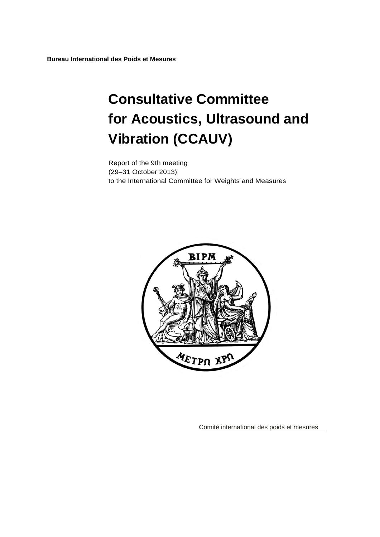**Bureau International des Poids et Mesures**

# **Consultative Committee for Acoustics, Ultrasound and Vibration (CCAUV)**

Report of the 9th meeting (29–31 October 2013) to the International Committee for Weights and Measures



Comité international des poids et mesures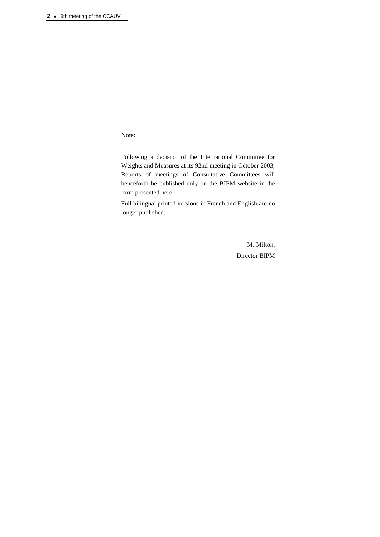#### Note:

Following a decision of the International Committee for Weights and Measures at its 92nd meeting in October 2003, Reports of meetings of Consultative Committees will henceforth be published only on the BIPM website in the form presented here.

Full bilingual printed versions in French and English are no longer published.

> M. Milton, Director BIPM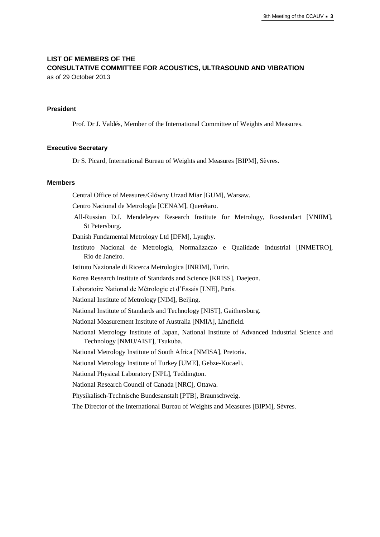## **LIST OF MEMBERS OF THE CONSULTATIVE COMMITTEE FOR ACOUSTICS, ULTRASOUND AND VIBRATION**

as of 29 October 2013

#### **President**

Prof. Dr J. Valdés, Member of the International Committee of Weights and Measures.

#### **Executive Secretary**

Dr S. Picard, International Bureau of Weights and Measures [BIPM], Sèvres.

#### **Members**

Central Office of Measures/Glówny Urzad Miar [GUM], Warsaw.

Centro Nacional de Metrología [CENAM], Querétaro.

- All-Russian D.I. Mendeleyev Research Institute for Metrology, Rosstandart [VNIIM], St Petersburg.
- Danish Fundamental Metrology Ltd [DFM], Lyngby.
- Instituto Nacional de Metrologia, Normalizacao e Qualidade Industrial [INMETRO], Rio de Janeiro.
- Istituto Nazionale di Ricerca Metrologica [INRIM], Turin.
- Korea Research Institute of Standards and Science [KRISS], Daejeon.
- Laboratoire National de Métrologie et d'Essais [LNE], Paris.

National Institute of Metrology [NIM], Beijing.

- National Institute of Standards and Technology [NIST], Gaithersburg.
- National Measurement Institute of Australia [NMIA], Lindfield.
- National Metrology Institute of Japan, National Institute of Advanced Industrial Science and Technology [NMIJ/AIST], Tsukuba.

National Metrology Institute of South Africa [NMISA], Pretoria.

National Metrology Institute of Turkey [UME], Gebze-Kocaeli.

National Physical Laboratory [NPL], Teddington.

National Research Council of Canada [NRC], Ottawa.

Physikalisch-Technische Bundesanstalt [PTB], Braunschweig.

The Director of the International Bureau of Weights and Measures [BIPM], Sèvres.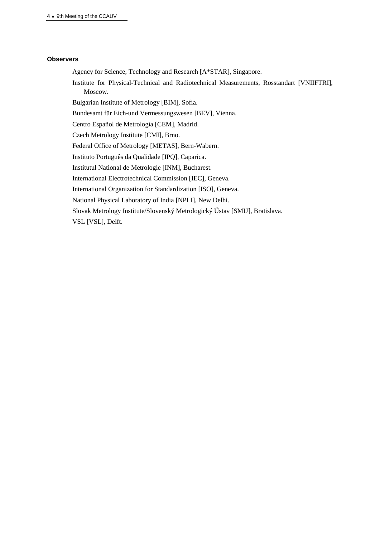#### **Observers**

Agency for Science, Technology and Research [A\*STAR], Singapore.

Institute for Physical-Technical and Radiotechnical Measurements, Rosstandart [VNIIFTRI], Moscow.

Bulgarian Institute of Metrology [BIM], Sofia.

Bundesamt für Eich-und Vermessungswesen [BEV], Vienna.

Centro Español de Metrología [CEM], Madrid.

Czech Metrology Institute [CMI], Brno.

Federal Office of Metrology [METAS], Bern-Wabern.

Instituto Português da Qualidade [IPQ], Caparica.

Institutul National de Metrologie [INM], Bucharest.

International Electrotechnical Commission [IEC], Geneva.

International Organization for Standardization [ISO], Geneva.

National Physical Laboratory of India [NPLI], New Delhi.

Slovak Metrology Institute/Slovenský Metrologický Ústav [SMU], Bratislava.

VSL [VSL], Delft.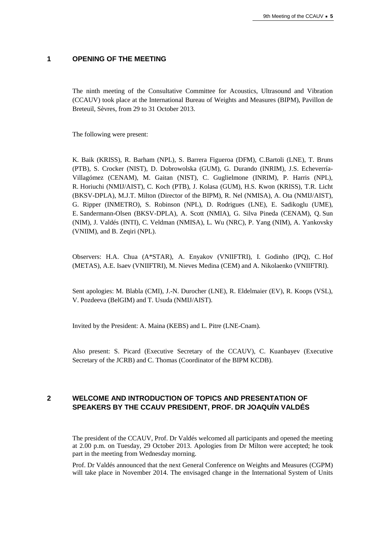#### **1 OPENING OF THE MEETING**

The ninth meeting of the Consultative Committee for Acoustics, Ultrasound and Vibration (CCAUV) took place at the International Bureau of Weights and Measures (BIPM), Pavillon de Breteuil, Sèvres, from 29 to 31 October 2013.

The following were present:

K. Baik (KRISS), R. Barham (NPL), S. Barrera Figueroa (DFM), C.Bartoli (LNE), T. Bruns (PTB), S. Crocker (NIST), D. Dobrowolska (GUM), G. Durando (INRIM), J.S. Echeverría-Villagómez (CENAM), M. Gaitan (NIST), C. Guglielmone (INRIM), P. Harris (NPL), R. Horiuchi (NMIJ/AIST), C. Koch (PTB), J. Kolasa (GUM), H.S. Kwon (KRISS), T.R. Licht (BKSV-DPLA), M.J.T. Milton (Director of the BIPM), R. Nel (NMISA), A. Ota (NMIJ/AIST), G. Ripper (INMETRO), S. Robinson (NPL), D. Rodrigues (LNE), E. Sadikoglu (UME), E. Sandermann-Olsen (BKSV-DPLA), A. Scott (NMIA), G. Silva Pineda (CENAM), Q. Sun (NIM), J. Valdés (INTI), C. Veldman (NMISA), L. Wu (NRC), P. Yang (NIM), A. Yankovsky (VNIIM), and B. Zeqiri (NPL).

Observers: H.A. Chua (A\*STAR), A. Enyakov (VNIIFTRI), I. Godinho (IPQ), C. Hof (METAS), A.E. Isaev (VNIIFTRI), M. Nieves Medina (CEM) and A. Nikolaenko (VNIIFTRI).

Sent apologies: M. Blabla (CMI), J.-N. Durocher (LNE), R. Eldelmaier (EV), R. Koops (VSL), V. Pozdeeva (BelGIM) and T. Usuda (NMIJ/AIST).

Invited by the President: A. Maina (KEBS) and L. Pitre (LNE-Cnam).

Also present: S. Picard (Executive Secretary of the CCAUV), C. Kuanbayev (Executive Secretary of the JCRB) and C. Thomas (Coordinator of the BIPM KCDB).

## **2 WELCOME AND INTRODUCTION OF TOPICS AND PRESENTATION OF SPEAKERS BY THE CCAUV PRESIDENT, PROF. DR JOAQUÍN VALDÉS**

The president of the CCAUV, Prof. Dr Valdés welcomed all participants and opened the meeting at 2.00 p.m. on Tuesday, 29 October 2013. Apologies from Dr Milton were accepted; he took part in the meeting from Wednesday morning.

Prof. Dr Valdés announced that the next General Conference on Weights and Measures (CGPM) will take place in November 2014. The envisaged change in the International System of Units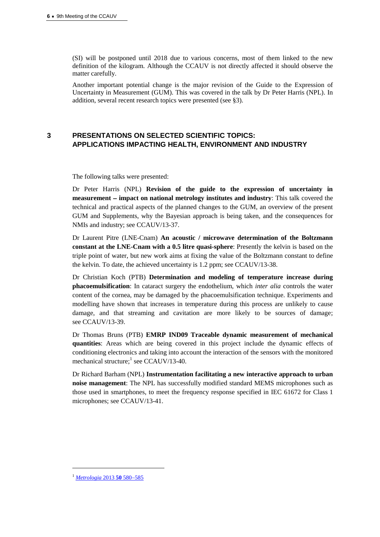(SI) will be postponed until 2018 due to various concerns, most of them linked to the new definition of the kilogram. Although the CCAUV is not directly affected it should observe the matter carefully.

Another important potential change is the major revision of the Guide to the Expression of Uncertainty in Measurement (GUM). This was covered in the talk by Dr Peter Harris (NPL). In addition, several recent research topics were presented (see §3).

## **3 PRESENTATIONS ON SELECTED SCIENTIFIC TOPICS: APPLICATIONS IMPACTING HEALTH, ENVIRONMENT AND INDUSTRY**

The following talks were presented:

Dr Peter Harris (NPL) **Revision of the guide to the expression of uncertainty in measurement impact on national metrology institutes and industry**: This talk covered the technical and practical aspects of the planned changes to the GUM, an overview of the present GUM and Supplements, why the Bayesian approach is being taken, and the consequences for NMIs and industry; see CCAUV/13-37.

Dr Laurent Pitre (LNE-Cnam) **An acoustic / microwave determination of the Boltzmann constant at the LNE-Cnam with a 0.5 litre quasi-sphere**: Presently the kelvin is based on the triple point of water, but new work aims at fixing the value of the Boltzmann constant to define the kelvin. To date, the achieved uncertainty is 1.2 ppm; see CCAUV/13-38.

Dr Christian Koch (PTB) **Determination and modeling of temperature increase during phacoemulsification**: In cataract surgery the endothelium, which *inter alia* controls the water content of the cornea, may be damaged by the phacoemulsification technique. Experiments and modelling have shown that increases in temperature during this process are unlikely to cause damage, and that streaming and cavitation are more likely to be sources of damage; see CCAUV/13-39.

Dr Thomas Bruns (PTB) **EMRP IND09 Traceable dynamic measurement of mechanical quantities**: Areas which are being covered in this project include the dynamic effects of conditioning electronics and taking into account the interaction of the sensors with the monitored mechanical structure; 1 see CCAUV/13-40.

Dr Richard Barham (NPL) **Instrumentation facilitating a new interactive approach to urban noise management**: The NPL has successfully modified standard MEMS microphones such as those used in smartphones, to meet the frequency response specified in IEC 61672 for Class 1 microphones; see CCAUV/13-41.

 $\overline{a}$ 

<sup>&</sup>lt;sup>1</sup> [Metrologia](http://iopscience.iop.org/0026-1394/50/6/580/pdf/0026-1394_50_6_580.pdf) 2013 **50** 580–585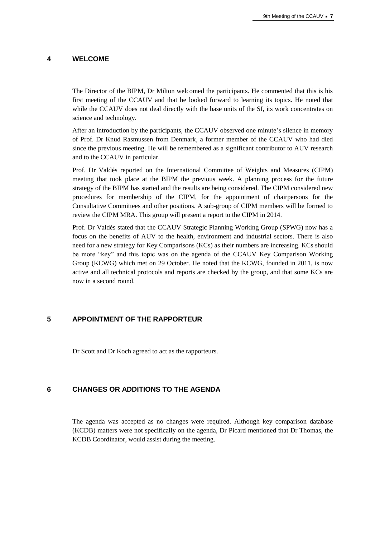#### **4 WELCOME**

The Director of the BIPM, Dr Milton welcomed the participants. He commented that this is his first meeting of the CCAUV and that he looked forward to learning its topics. He noted that while the CCAUV does not deal directly with the base units of the SI, its work concentrates on science and technology.

After an introduction by the participants, the CCAUV observed one minute's silence in memory of Prof. Dr Knud Rasmussen from Denmark, a former member of the CCAUV who had died since the previous meeting. He will be remembered as a significant contributor to AUV research and to the CCAUV in particular.

Prof. Dr Valdés reported on the International Committee of Weights and Measures (CIPM) meeting that took place at the BIPM the previous week. A planning process for the future strategy of the BIPM has started and the results are being considered. The CIPM considered new procedures for membership of the CIPM, for the appointment of chairpersons for the Consultative Committees and other positions. A sub-group of CIPM members will be formed to review the CIPM MRA. This group will present a report to the CIPM in 2014.

Prof. Dr Valdés stated that the CCAUV Strategic Planning Working Group (SPWG) now has a focus on the benefits of AUV to the health, environment and industrial sectors. There is also need for a new strategy for Key Comparisons (KCs) as their numbers are increasing. KCs should be more "key" and this topic was on the agenda of the CCAUV Key Comparison Working Group (KCWG) which met on 29 October. He noted that the KCWG, founded in 2011, is now active and all technical protocols and reports are checked by the group, and that some KCs are now in a second round.

## **5 APPOINTMENT OF THE RAPPORTEUR**

Dr Scott and Dr Koch agreed to act as the rapporteurs.

## **6 CHANGES OR ADDITIONS TO THE AGENDA**

The agenda was accepted as no changes were required. Although key comparison database (KCDB) matters were not specifically on the agenda, Dr Picard mentioned that Dr Thomas, the KCDB Coordinator, would assist during the meeting.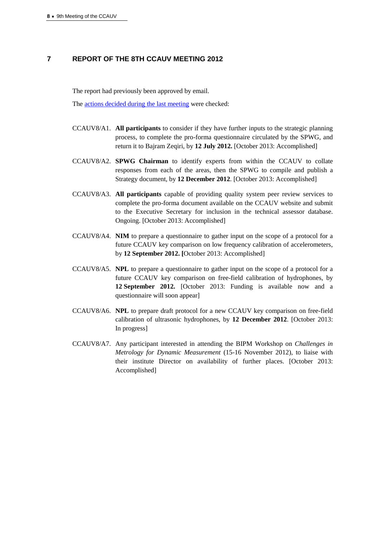#### **7 REPORT OF THE 8TH CCAUV MEETING 2012**

The report had previously been approved by email.

The [actions decided during the last meeting](https://www.bipm.org/cc/CCAUV/Allowed/Summary_reports/CCAUV-8_actions_and_decisions_Final_RS_SP.pdf) were checked:

- CCAUV8/A1. **All participants** to consider if they have further inputs to the strategic planning process, to complete the pro-forma questionnaire circulated by the SPWG, and return it to Bajram Zeqiri, by **12 July 2012.** [October 2013: Accomplished]
- CCAUV8/A2. **SPWG Chairman** to identify experts from within the CCAUV to collate responses from each of the areas, then the SPWG to compile and publish a Strategy document, by **12 December 2012**. [October 2013: Accomplished]
- CCAUV8/A3. **All participants** capable of providing quality system peer review services to complete the pro-forma document available on the CCAUV website and submit to the Executive Secretary for inclusion in the technical assessor database. Ongoing. [October 2013: Accomplished]
- CCAUV8/A4. **NIM** to prepare a questionnaire to gather input on the scope of a protocol for a future CCAUV key comparison on low frequency calibration of accelerometers, by **12 September 2012. [**October 2013: Accomplished]
- CCAUV8/A5. **NPL** to prepare a questionnaire to gather input on the scope of a protocol for a future CCAUV key comparison on free-field calibration of hydrophones, by **12 September 2012.** [October 2013: Funding is available now and a questionnaire will soon appear]
- CCAUV8/A6. **NPL** to prepare draft protocol for a new CCAUV key comparison on free-field calibration of ultrasonic hydrophones, by **12 December 2012**. [October 2013: In progress]
- CCAUV8/A7. Any participant interested in attending the BIPM Workshop on *Challenges in Metrology for Dynamic Measurement* (15-16 November 2012), to liaise with their institute Director on availability of further places. [October 2013: Accomplished]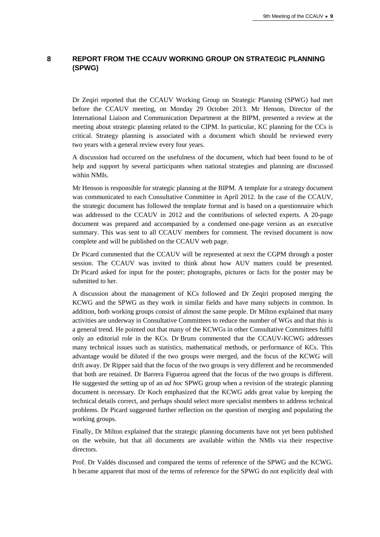## **8 REPORT FROM THE CCAUV WORKING GROUP ON STRATEGIC PLANNING (SPWG)**

Dr Zeqiri reported that the CCAUV Working Group on Strategic Planning (SPWG) had met before the CCAUV meeting, on Monday 29 October 2013. Mr Henson, Director of the International Liaison and Communication Department at the BIPM, presented a review at the meeting about strategic planning related to the CIPM. In particular, KC planning for the CCs is critical. Strategy planning is associated with a document which should be reviewed every two years with a general review every four years.

A discussion had occurred on the usefulness of the document, which had been found to be of help and support by several participants when national strategies and planning are discussed within NMIs.

Mr Henson is responsible for strategic planning at the BIPM. A template for a strategy document was communicated to each Consultative Committee in April 2012. In the case of the CCAUV, the strategic document has followed the template format and is based on a questionnaire which was addressed to the CCAUV in 2012 and the contributions of selected experts. A 20-page document was prepared and accompanied by a condensed one-page version as an executive summary. This was sent to all CCAUV members for comment. The revised document is now complete and will be published on the CCAUV web page.

Dr Picard commented that the CCAUV will be represented at next the CGPM through a poster session. The CCAUV was invited to think about how AUV matters could be presented. Dr Picard asked for input for the poster; photographs, pictures or facts for the poster may be submitted to her.

A discussion about the management of KCs followed and Dr Zeqiri proposed merging the KCWG and the SPWG as they work in similar fields and have many subjects in common. In addition, both working groups consist of almost the same people. Dr Milton explained that many activities are underway in Consultative Committees to reduce the number of WGs and that this is a general trend. He pointed out that many of the KCWGs in other Consultative Committees fulfil only an editorial role in the KCs. Dr Bruns commented that the CCAUV-KCWG addresses many technical issues such as statistics, mathematical methods, or performance of KCs. This advantage would be diluted if the two groups were merged, and the focus of the KCWG will drift away. Dr Ripper said that the focus of the two groups is very different and he recommended that both are retained. Dr Barrera Figueroa agreed that the focus of the two groups is different. He suggested the setting up of an *ad hoc* SPWG group when a revision of the strategic planning document is necessary. Dr Koch emphasized that the KCWG adds great value by keeping the technical details correct, and perhaps should select more specialist members to address technical problems. Dr Picard suggested further reflection on the question of merging and populating the working groups.

Finally, Dr Milton explained that the strategic planning documents have not yet been published on the website, but that all documents are available within the NMIs via their respective directors.

Prof. Dr Valdés discussed and compared the terms of reference of the SPWG and the KCWG. It became apparent that most of the terms of reference for the SPWG do not explicitly deal with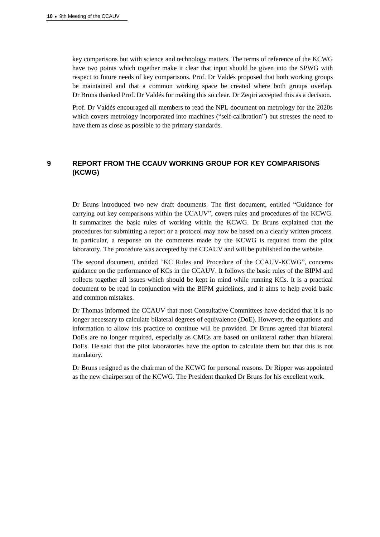key comparisons but with science and technology matters. The terms of reference of the KCWG have two points which together make it clear that input should be given into the SPWG with respect to future needs of key comparisons. Prof. Dr Valdés proposed that both working groups be maintained and that a common working space be created where both groups overlap. Dr Bruns thanked Prof. Dr Valdés for making this so clear. Dr Zeqiri accepted this as a decision.

Prof. Dr Valdés encouraged all members to read the NPL document on metrology for the 2020s which covers metrology incorporated into machines ("self-calibration") but stresses the need to have them as close as possible to the primary standards.

## **9 REPORT FROM THE CCAUV WORKING GROUP FOR KEY COMPARISONS (KCWG)**

Dr Bruns introduced two new draft documents. The first document, entitled "Guidance for carrying out key comparisons within the CCAUV", covers rules and procedures of the KCWG. It summarizes the basic rules of working within the KCWG. Dr Bruns explained that the procedures for submitting a report or a protocol may now be based on a clearly written process. In particular, a response on the comments made by the KCWG is required from the pilot laboratory. The procedure was accepted by the CCAUV and will be published on the website.

The second document, entitled "KC Rules and Procedure of the CCAUV-KCWG", concerns guidance on the performance of KCs in the CCAUV. It follows the basic rules of the BIPM and collects together all issues which should be kept in mind while running KCs. It is a practical document to be read in conjunction with the BIPM guidelines, and it aims to help avoid basic and common mistakes.

Dr Thomas informed the CCAUV that most Consultative Committees have decided that it is no longer necessary to calculate bilateral degrees of equivalence (DoE). However, the equations and information to allow this practice to continue will be provided. Dr Bruns agreed that bilateral DoEs are no longer required, especially as CMCs are based on unilateral rather than bilateral DoEs. He said that the pilot laboratories have the option to calculate them but that this is not mandatory.

Dr Bruns resigned as the chairman of the KCWG for personal reasons. Dr Ripper was appointed as the new chairperson of the KCWG. The President thanked Dr Bruns for his excellent work.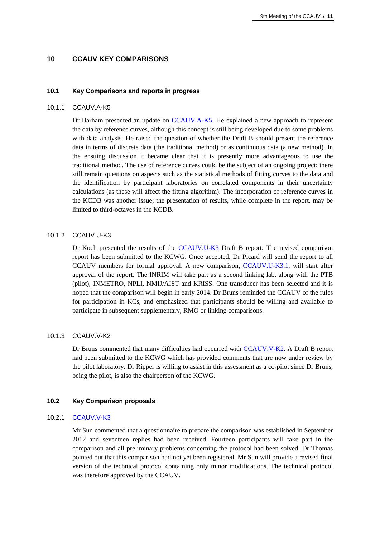#### **10 CCAUV KEY COMPARISONS**

#### **10.1 Key Comparisons and reports in progress**

#### 10.1.1 CCAUV.A-K5

Dr Barham presented an update on [CCAUV.A-K5.](http://kcdb.bipm.org/appendixB/KCDB_ApB_info.asp?cmp_idy=1091&cmp_cod=CCAUV.A-K5&prov=exalead) He explained a new approach to represent the data by reference curves, although this concept is still being developed due to some problems with data analysis. He raised the question of whether the Draft B should present the reference data in terms of discrete data (the traditional method) or as continuous data (a new method). In the ensuing discussion it became clear that it is presently more advantageous to use the traditional method. The use of reference curves could be the subject of an ongoing project; there still remain questions on aspects such as the statistical methods of fitting curves to the data and the identification by participant laboratories on correlated components in their uncertainty calculations (as these will affect the fitting algorithm). The incorporation of reference curves in the KCDB was another issue; the presentation of results, while complete in the report, may be limited to third-octaves in the KCDB.

#### 10.1.2 CCAUV.U-K3

Dr Koch presented the results of the [CCAUV.U-K3](http://kcdb.bipm.org/appendixB/KCDB_ApB_info.asp?cmp_idy=867&cmp_cod=CCAUV.U-K3&page=1&search=2&cmp_cod_search=CCAUV.U-K3&met_idy=&bra_idy=&epo_idy=&cmt_idy=&ett_idy_org=&lab_idy=&cou_cod=) Draft B report. The revised comparison report has been submitted to the KCWG. Once accepted, Dr Picard will send the report to all CCAUV members for formal approval. A new comparison, [CCAUV.U-K3.1,](http://kcdb.bipm.org/appendixB/KCDB_ApB_info.asp?cmp_idy=1357&cmp_cod=CCAUV.U-K3.1&page=1&search=2&cmp_cod_search=CCAUV.U-K3.1&met_idy=&bra_idy=&epo_idy=&cmt_idy=&ett_idy_org=&lab_idy=&cou_cod=) will start after approval of the report. The INRIM will take part as a second linking lab, along with the PTB (pilot), INMETRO, NPLI, NMIJ/AIST and KRISS. One transducer has been selected and it is hoped that the comparison will begin in early 2014. Dr Bruns reminded the CCAUV of the rules for participation in KCs, and emphasized that participants should be willing and available to participate in subsequent supplementary, RMO or linking comparisons.

#### 10.1.3 CCAUV.V-K2

Dr Bruns commented that many difficulties had occurred with [CCAUV.V-K2.](http://kcdb.bipm.org/appendixB/KCDB_ApB_info.asp?cmp_idy=959&cmp_cod=CCAUV.V-K2&page=1&search=2&cmp_cod_search=CCAUV.V-K2&met_idy=&bra_idy=&epo_idy=&cmt_idy=&ett_idy_org=&lab_idy=&cou_cod=) A Draft B report had been submitted to the KCWG which has provided comments that are now under review by the pilot laboratory. Dr Ripper is willing to assist in this assessment as a co-pilot since Dr Bruns, being the pilot, is also the chairperson of the KCWG.

#### **10.2 Key Comparison proposals**

#### 10.2.1 [CCAUV.V-K3](http://kcdb.bipm.org/appendixB/KCDB_ApB_info.asp?cmp_idy=1356&cmp_cod=CCAUV.V-K3&page=1&search=2&cmp_cod_search=CCAUV.V-K3&met_idy=&bra_idy=&epo_idy=&cmt_idy=&ett_idy_org=&lab_idy=&cou_cod=)

Mr Sun commented that a questionnaire to prepare the comparison was established in September 2012 and seventeen replies had been received. Fourteen participants will take part in the comparison and all preliminary problems concerning the protocol had been solved. Dr Thomas pointed out that this comparison had not yet been registered. Mr Sun will provide a revised final version of the technical protocol containing only minor modifications. The technical protocol was therefore approved by the CCAUV.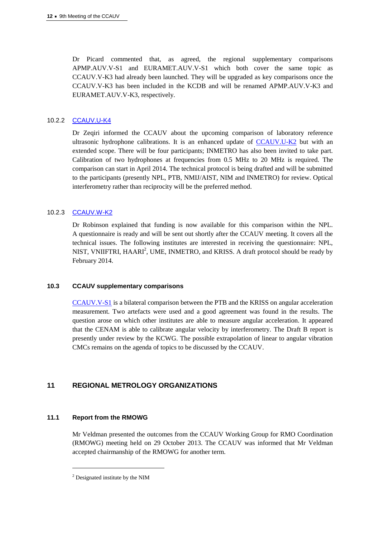Dr Picard commented that, as agreed, the regional supplementary comparisons APMP.AUV.V-S1 and EURAMET.AUV.V-S1 which both cover the same topic as CCAUV.V-K3 had already been launched. They will be upgraded as key comparisons once the CCAUV.V-K3 has been included in the KCDB and will be renamed APMP.AUV.V-K3 and EURAMET.AUV.V-K3, respectively.

#### 10.2.2 [CCAUV.U-K4](http://kcdb.bipm.org/appendixB/KCDB_ApB_info.asp?cmp_idy=1094&cmp_cod=CCAUV.U-K4&page=1&search=2&cmp_cod_search=CCAUV.U-K4&met_idy=&bra_idy=&epo_idy=&cmt_idy=&ett_idy_org=&lab_idy=&cou_cod=)

Dr Zeqiri informed the CCAUV about the upcoming comparison of laboratory reference ultrasonic hydrophone calibrations. It is an enhanced update of  $\overline{CCAUV.U-K2}$  but with an extended scope. There will be four participants; INMETRO has also been invited to take part. Calibration of two hydrophones at frequencies from 0.5 MHz to 20 MHz is required. The comparison can start in April 2014. The technical protocol is being drafted and will be submitted to the participants (presently NPL, PTB, NMIJ/AIST, NIM and INMETRO) for review. Optical interferometry rather than reciprocity will be the preferred method.

#### 10.2.3 [CCAUV.W-K2](http://kcdb.bipm.org/appendixB/KCDB_ApB_info.asp?cmp_idy=1375&cmp_cod=CCAUV.W-K2&page=1&search=2&cmp_cod_search=CCAUV.W-K2&met_idy=&bra_idy=&epo_idy=&cmt_idy=&ett_idy_org=&lab_idy=&cou_cod=)

Dr Robinson explained that funding is now available for this comparison within the NPL. A questionnaire is ready and will be sent out shortly after the CCAUV meeting. It covers all the technical issues. The following institutes are interested in receiving the questionnaire: NPL, NIST, VNIIFTRI, HAARI<sup>2</sup>, UME, INMETRO, and KRISS. A draft protocol should be ready by February 2014.

#### **10.3 CCAUV supplementary comparisons**

[CCAUV.V-S1](http://kcdb.bipm.org/appendixB/KCDB_ApB_info.asp?cmp_idy=1284&cmp_cod=CCAUV.V-S1&page=1&search=2&cmp_cod_search=CCAUV.V-S1&met_idy=&bra_idy=&epo_idy=&cmt_idy=&ett_idy_org=&lab_idy=&cou_cod=) is a bilateral comparison between the PTB and the KRISS on angular acceleration measurement. Two artefacts were used and a good agreement was found in the results. The question arose on which other institutes are able to measure angular acceleration. It appeared that the CENAM is able to calibrate angular velocity by interferometry. The Draft B report is presently under review by the KCWG. The possible extrapolation of linear to angular vibration CMCs remains on the agenda of topics to be discussed by the CCAUV.

#### **11 REGIONAL METROLOGY ORGANIZATIONS**

#### **11.1 Report from the RMOWG**

 $\overline{a}$ 

Mr Veldman presented the outcomes from the CCAUV Working Group for RMO Coordination (RMOWG) meeting held on 29 October 2013. The CCAUV was informed that Mr Veldman accepted chairmanship of the RMOWG for another term.

<sup>&</sup>lt;sup>2</sup> Designated institute by the NIM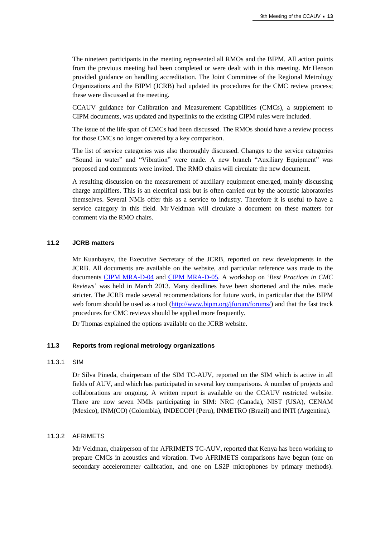The nineteen participants in the meeting represented all RMOs and the BIPM. All action points from the previous meeting had been completed or were dealt with in this meeting. Mr Henson provided guidance on handling accreditation. The Joint Committee of the Regional Metrology Organizations and the BIPM (JCRB) had updated its procedures for the CMC review process; these were discussed at the meeting.

CCAUV guidance for Calibration and Measurement Capabilities (CMCs), a supplement to CIPM documents, was updated and hyperlinks to the existing CIPM rules were included.

The issue of the life span of CMCs had been discussed. The RMOs should have a review process for those CMCs no longer covered by a key comparison.

The list of service categories was also thoroughly discussed. Changes to the service categories "Sound in water" and "Vibration" were made. A new branch "Auxiliary Equipment" was proposed and comments were invited. The RMO chairs will circulate the new document.

A resulting discussion on the measurement of auxiliary equipment emerged, mainly discussing charge amplifiers. This is an electrical task but is often carried out by the acoustic laboratories themselves. Several NMIs offer this as a service to industry. Therefore it is useful to have a service category in this field. Mr Veldman will circulate a document on these matters for comment via the RMO chairs.

#### **11.2 JCRB matters**

Mr Kuanbayev, the Executive Secretary of the JCRB, reported on new developments in the JCRB. All documents are available on the website, and particular reference was made to the documents CIPM [MRA-D-04](https://www.bipm.org/utils/common/CIPM_MRA/CIPM_MRA-D-04.pdf) and [CIPM MRA-D-05.](https://www.bipm.org/utils/common/CIPM_MRA/CIPM_MRA-D-05.pdf) A workshop on '*Best Practices in CMC Reviews*' was held in March 2013. Many deadlines have been shortened and the rules made stricter. The JCRB made several recommendations for future work, in particular that the BIPM web forum should be used as a tool [\(http://www.bipm.org/jforum/forums/](https://www.bipm.org/jforum/forums/)) and that the fast track procedures for CMC reviews should be applied more frequently.

Dr Thomas explained the options available on the JCRB website.

#### **11.3 Reports from regional metrology organizations**

#### 11.3.1 SIM

Dr Silva Pineda, chairperson of the SIM TC-AUV, reported on the SIM which is active in all fields of AUV, and which has participated in several key comparisons. A number of projects and collaborations are ongoing. A written report is available on the CCAUV restricted website. There are now seven NMIs participating in SIM: NRC (Canada), NIST (USA), CENAM (Mexico), INM(CO) (Colombia), INDECOPI (Peru), INMETRO (Brazil) and INTI (Argentina).

#### 11.3.2 AFRIMETS

Mr Veldman, chairperson of the AFRIMETS TC-AUV, reported that Kenya has been working to prepare CMCs in acoustics and vibration. Two AFRIMETS comparisons have begun (one on secondary accelerometer calibration, and one on LS2P microphones by primary methods).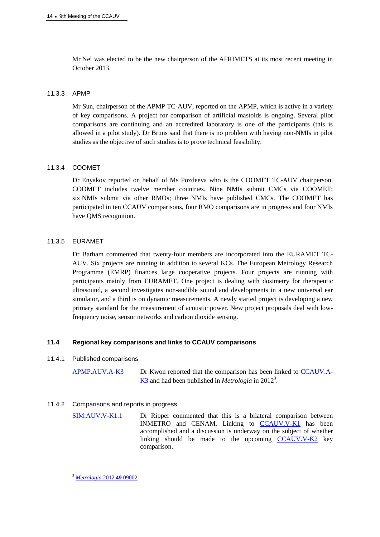Mr Nel was elected to be the new chairperson of the AFRIMETS at its most recent meeting in October 2013.

#### 11.3.3 APMP

Mr Sun, chairperson of the APMP TC-AUV, reported on the APMP, which is active in a variety of key comparisons. A project for comparison of artificial mastoids is ongoing. Several pilot comparisons are continuing and an accredited laboratory is one of the participants (this is allowed in a pilot study). Dr Bruns said that there is no problem with having non-NMIs in pilot studies as the objective of such studies is to prove technical feasibility.

#### 11.3.4 COOMET

Dr Enyakov reported on behalf of Ms Pozdeeva who is the COOMET TC-AUV chairperson. COOMET includes twelve member countries. Nine NMIs submit CMCs via COOMET; six NMIs submit via other RMOs; three NMIs have published CMCs. The COOMET has participated in ten CCAUV comparisons, four RMO comparisons are in progress and four NMIs have QMS recognition.

#### 11.3.5 EURAMET

Dr Barham commented that twenty-four members are incorporated into the EURAMET TC-AUV. Six projects are running in addition to several KCs. The European Metrology Research Programme (EMRP) finances large cooperative projects. Four projects are running with participants mainly from EURAMET. One project is dealing with dosimetry for therapeutic ultrasound, a second investigates non-audible sound and developments in a new universal ear simulator, and a third is on dynamic measurements. A newly started project is developing a new primary standard for the measurement of acoustic power. New project proposals deal with lowfrequency noise, sensor networks and carbon dioxide sensing.

#### **11.4 Regional key comparisons and links to CCAUV comparisons**

#### 11.4.1 Published comparisons

[APMP.AUV.A-K3](http://kcdb.bipm.org/appendixB/KCDB_ApB_info.asp?cmp_idy=775&cmp_cod=APMP.AUV.A-K3&page=1&search=2&cmp_cod_search=APMP.AUV.A-K3&met_idy=&bra_idy=&epo_idy=&cmt_idy=&ett_idy_org=&lab_idy=&cou_cod=) Dr Kwon reported that the comparison has been linked to [CCAUV.A-](http://kcdb.bipm.org/appendixB/KCDB_ApB_info.asp?cmp_idy=424&cmp_cod=CCAUV.A-K3&page=1&search=2&cmp_cod_search=CCAUV.A-K3&met_idy=&bra_idy=&epo_idy=&cmt_idy=&ett_idy_org=&lab_idy=&cou_cod=)K<sub>3</sub> and had been published in *Metrologia* in 2012<sup>3</sup>.

#### 11.4.2 Comparisons and reports in progress

[SIM.AUV.V-K1.1](http://kcdb.bipm.org/appendixB/KCDB_ApB_info.asp?cmp_idy=743&cmp_cod=SIM.AUV.V-K1.1&page=1&search=2&cmp_cod_search=SIM.AUV.V-K1.1&met_idy=&bra_idy=&epo_idy=&cmt_idy=&ett_idy_org=&lab_idy=&cou_cod=) Dr Ripper commented that this is a bilateral comparison between INMETRO and CENAM. Linking to [CCAUV.V-K1](http://kcdb.bipm.org/appendixB/KCDB_ApB_info.asp?cmp_idy=429&cmp_cod=CCAUV.V-K1&page=1&search=2&cmp_cod_search=CCAUV.V-K1&met_idy=&bra_idy=&epo_idy=&cmt_idy=&ett_idy_org=&lab_idy=&cou_cod=) has been accomplished and a discussion is underway on the subject of whether linking should be made to the upcoming  $CCAUV.V-K2$  key comparison.

 $\overline{a}$ 

<sup>3</sup> *[Metrologia](http://stacks.iop.org/0026-1394/49/09002)* 2012 **49** 09002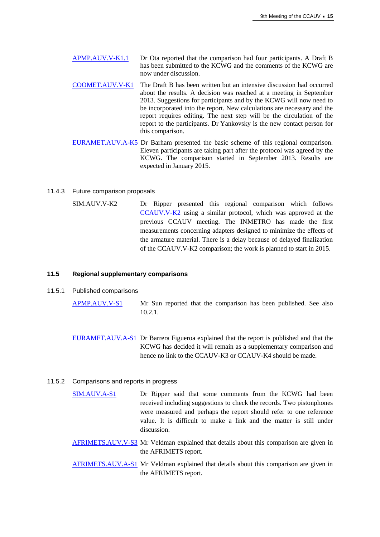[APMP.AUV.V-K1.1](http://kcdb.bipm.org/appendixB/KCDB_ApB_info.asp?cmp_idy=956&cmp_cod=APMP.AUV.V-K1.1&page=1&search=2&cmp_cod_search=APMP.AUV.V-K1.1&met_idy=&bra_idy=&epo_idy=&cmt_idy=&ett_idy_org=&lab_idy=&cou_cod=) Dr Ota reported that the comparison had four participants. A Draft B has been submitted to the KCWG and the comments of the KCWG are now under discussion.

- [COOMET.AUV.V-K1](http://kcdb.bipm.org/appendixB/KCDB_ApB_info.asp?cmp_idy=700&cmp_cod=COOMET.AUV.V-K1&page=1&search=2&cmp_cod_search=COOMET.AUV.V-K1&met_idy=&bra_idy=&epo_idy=&cmt_idy=&ett_idy_org=&lab_idy=&cou_cod=) The Draft B has been written but an intensive discussion had occurred about the results. A decision was reached at a meeting in September 2013. Suggestions for participants and by the KCWG will now need to be incorporated into the report. New calculations are necessary and the report requires editing. The next step will be the circulation of the report to the participants. Dr Yankovsky is the new contact person for this comparison.
- [EURAMET.AUV.A-K5](http://kcdb.bipm.org/appendixB/KCDB_ApB_info.asp?cmp_idy=1345&cmp_cod=EURAMET.AUV.A-K5&page=1&search=2&cmp_cod_search=EURAMET.AUV.A-K5&met_idy=&bra_idy=&epo_idy=&cmt_idy=&ett_idy_org=&lab_idy=&cou_cod=) Dr Barham presented the basic scheme of this regional comparison. Eleven participants are taking part after the protocol was agreed by the KCWG. The comparison started in September 2013. Results are expected in January 2015.

#### 11.4.3 Future comparison proposals

SIM.AUV.V-K2 Dr Ripper presented this regional comparison which follows [CCAUV.V-K2](http://kcdb.bipm.org/appendixB/KCDB_ApB_info.asp?cmp_idy=959&cmp_cod=CCAUV.V-K2&page=1&search=2&cmp_cod_search=CCAUV.V-K2&met_idy=&bra_idy=&epo_idy=&cmt_idy=&ett_idy_org=&lab_idy=&cou_cod=) using a similar protocol, which was approved at the previous CCAUV meeting. The INMETRO has made the first measurements concerning adapters designed to minimize the effects of the armature material. There is a delay because of delayed finalization of the CCAUV.V-K2 comparison; the work is planned to start in 2015.

#### **11.5 Regional supplementary comparisons**

11.5.1 Published comparisons

[APMP.AUV.V-S1](http://kcdb.bipm.org/appendixB/KCDB_ApB_info.asp?cmp_idy=1092&cmp_cod=APMP.AUV.V-K3&prov=exalead) Mr Sun reported that the comparison has been published. See also 10.2.1.

[EURAMET.AUV.A-S1](http://kcdb.bipm.org/appendixB/KCDB_ApB_info.asp?cmp_idy=992&cmp_cod=EURAMET.AUV.A-S1&page=1&search=2&cmp_cod_search=EURAMET.AUV.A-S1&met_idy=&bra_idy=&epo_idy=&cmt_idy=&ett_idy_org=&lab_idy=&cou_cod=) Dr Barrera Figueroa explained that the report is published and that the KCWG has decided it will remain as a supplementary comparison and hence no link to the CCAUV-K3 or CCAUV-K4 should be made.

#### 11.5.2 Comparisons and reports in progress

- [SIM.AUV.A-S1](http://kcdb.bipm.org/appendixB/KCDB_ApB_info.asp?cmp_idy=451&cmp_cod=SIM.AUV.A-S1&page=1&search=2&cmp_cod_search=SIM.AUV.A-S1&met_idy=&bra_idy=&epo_idy=&cmt_idy=&ett_idy_org=&lab_idy=&cou_cod=) Dr Ripper said that some comments from the KCWG had been received including suggestions to check the records. Two pistonphones were measured and perhaps the report should refer to one reference value. It is difficult to make a link and the matter is still under discussion.
- [AFRIMETS.AUV.V-S3](http://kcdb.bipm.org/appendixB/KCDB_ApB_info.asp?cmp_idy=1243&cmp_cod=AFRIMETS.AUV.V-S3&page=1&search=2&cmp_cod_search=AFRIMETS.AUV.V-S3&met_idy=&bra_idy=&epo_idy=&cmt_idy=&ett_idy_org=&lab_idy=&cou_cod=) Mr Veldman explained that details about this comparison are given in the AFRIMETS report.
- [AFRIMETS.AUV.A-S1](http://kcdb.bipm.org/appendixB/KCDB_ApB_info.asp?cmp_idy=1283&cmp_cod=AFRIMETS.AUV.A-S1&page=1&search=2&cmp_cod_search=AFRIMETS.AUV.A-S1&met_idy=&bra_idy=&epo_idy=&cmt_idy=&ett_idy_org=&lab_idy=&cou_cod=) Mr Veldman explained that details about this comparison are given in the AFRIMETS report.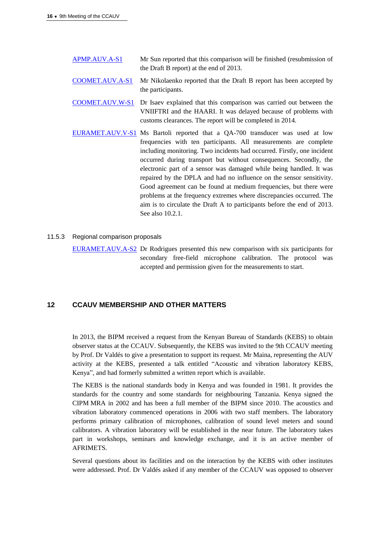- [APMP.AUV.A-S1](http://kcdb.bipm.org/appendixB/KCDB_ApB_info.asp?cmp_idy=921&cmp_cod=APMP.AUV.A-S1&page=1&search=2&cmp_cod_search=APMP.AUV.A-S1&met_idy=&bra_idy=&epo_idy=&cmt_idy=&ett_idy_org=&lab_idy=&cou_cod=) Mr Sun reported that this comparison will be finished (resubmission of the Draft B report) at the end of 2013.
- [COOMET.AUV.A-S1](http://kcdb.bipm.org/appendixB/KCDB_ApB_info.asp?cmp_idy=984&cmp_cod=COOMET.AUV.A-S1&page=1&search=2&cmp_cod_search=COOMET.AUV.A-S1&met_idy=&bra_idy=&epo_idy=&cmt_idy=&ett_idy_org=&lab_idy=&cou_cod=) Mr Nikolaenko reported that the Draft B report has been accepted by the participants.
- [COOMET.AUV.W-S1](http://kcdb.bipm.org/appendixB/KCDB_ApB_info.asp?cmp_idy=1206&cmp_cod=COOMET.AUV.W-S1&page=1&search=2&cmp_cod_search=COOMET.AUV.W-S1&met_idy=&bra_idy=&epo_idy=&cmt_idy=&ett_idy_org=&lab_idy=&cou_cod=) Dr Isaev explained that this comparison was carried out between the VNIIFTRI and the HAARI. It was delayed because of problems with customs clearances. The report will be completed in 2014.
- [EURAMET.AUV.V-S1](http://kcdb.bipm.org/AppendixB/KCDB_ApB_info.asp?cmp_idy=1158&cmp_cod=EURAMET%2EAUV%2EV%2DK3&page=10&search=1&cmp_cod_search=&met_idy=1&bra_idy=0&epo_idy=0&cmt_idy=0&ett_idy_org=0&lab_idy=&cou_cod=0) Ms Bartoli reported that a QA-700 transducer was used at low frequencies with ten participants. All measurements are complete including monitoring. Two incidents had occurred. Firstly, one incident occurred during transport but without consequences. Secondly, the electronic part of a sensor was damaged while being handled. It was repaired by the DPLA and had no influence on the sensor sensitivity. Good agreement can be found at medium frequencies, but there were problems at the frequency extremes where discrepancies occurred. The aim is to circulate the Draft A to participants before the end of 2013. See also 10.2.1.

#### 11.5.3 Regional comparison proposals

[EURAMET.AUV.A-S2](http://kcdb.bipm.org/appendixB/KCDB_ApB_info.asp?cmp_idy=1352&cmp_cod=EURAMET.AUV.A-S2&page=1&search=2&cmp_cod_search=EURAMET.AUV.A-S2&met_idy=&bra_idy=&epo_idy=&cmt_idy=&ett_idy_org=&lab_idy=&cou_cod=) Dr Rodrigues presented this new comparison with six participants for secondary free-field microphone calibration. The protocol was accepted and permission given for the measurements to start.

## **12 CCAUV MEMBERSHIP AND OTHER MATTERS**

In 2013, the BIPM received a request from the Kenyan Bureau of Standards (KEBS) to obtain observer status at the CCAUV. Subsequently, the KEBS was invited to the 9th CCAUV meeting by Prof. Dr Valdés to give a presentation to support its request. Mr Maina, representing the AUV activity at the KEBS, presented a talk entitled "Acoustic and vibration laboratory KEBS, Kenya", and had formerly submitted a written report which is available.

The KEBS is the national standards body in Kenya and was founded in 1981. It provides the standards for the country and some standards for neighbouring Tanzania. Kenya signed the CIPM MRA in 2002 and has been a full member of the BIPM since 2010. The acoustics and vibration laboratory commenced operations in 2006 with two staff members. The laboratory performs primary calibration of microphones, calibration of sound level meters and sound calibrators. A vibration laboratory will be established in the near future. The laboratory takes part in workshops, seminars and knowledge exchange, and it is an active member of AFRIMETS.

Several questions about its facilities and on the interaction by the KEBS with other institutes were addressed. Prof. Dr Valdés asked if any member of the CCAUV was opposed to observer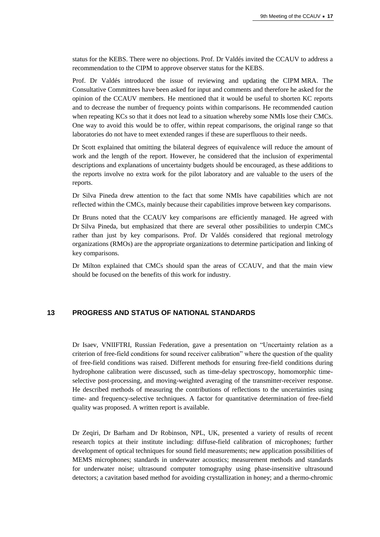status for the KEBS. There were no objections. Prof. Dr Valdés invited the CCAUV to address a recommendation to the CIPM to approve observer status for the KEBS.

Prof. Dr Valdés introduced the issue of reviewing and updating the CIPM MRA. The Consultative Committees have been asked for input and comments and therefore he asked for the opinion of the CCAUV members. He mentioned that it would be useful to shorten KC reports and to decrease the number of frequency points within comparisons. He recommended caution when repeating KCs so that it does not lead to a situation whereby some NMIs lose their CMCs. One way to avoid this would be to offer, within repeat comparisons, the original range so that laboratories do not have to meet extended ranges if these are superfluous to their needs.

Dr Scott explained that omitting the bilateral degrees of equivalence will reduce the amount of work and the length of the report. However, he considered that the inclusion of experimental descriptions and explanations of uncertainty budgets should be encouraged, as these additions to the reports involve no extra work for the pilot laboratory and are valuable to the users of the reports.

Dr Silva Pineda drew attention to the fact that some NMIs have capabilities which are not reflected within the CMCs, mainly because their capabilities improve between key comparisons.

Dr Bruns noted that the CCAUV key comparisons are efficiently managed. He agreed with Dr Silva Pineda, but emphasized that there are several other possibilities to underpin CMCs rather than just by key comparisons. Prof. Dr Valdés considered that regional metrology organizations (RMOs) are the appropriate organizations to determine participation and linking of key comparisons.

Dr Milton explained that CMCs should span the areas of CCAUV, and that the main view should be focused on the benefits of this work for industry.

## **13 PROGRESS AND STATUS OF NATIONAL STANDARDS**

Dr Isaev, VNIIFTRI, Russian Federation, gave a presentation on "Uncertainty relation as a criterion of free-field conditions for sound receiver calibration" where the question of the quality of free-field conditions was raised. Different methods for ensuring free-field conditions during hydrophone calibration were discussed, such as time-delay spectroscopy, homomorphic timeselective post-processing, and moving-weighted averaging of the transmitter-receiver response. He described methods of measuring the contributions of reflections to the uncertainties using time- and frequency-selective techniques. A factor for quantitative determination of free-field quality was proposed. A written report is available.

Dr Zeqiri, Dr Barham and Dr Robinson, NPL, UK, presented a variety of results of recent research topics at their institute including: diffuse-field calibration of microphones; further development of optical techniques for sound field measurements; new application possibilities of MEMS microphones; standards in underwater acoustics; measurement methods and standards for underwater noise; ultrasound computer tomography using phase-insensitive ultrasound detectors; a cavitation based method for avoiding crystallization in honey; and a thermo-chromic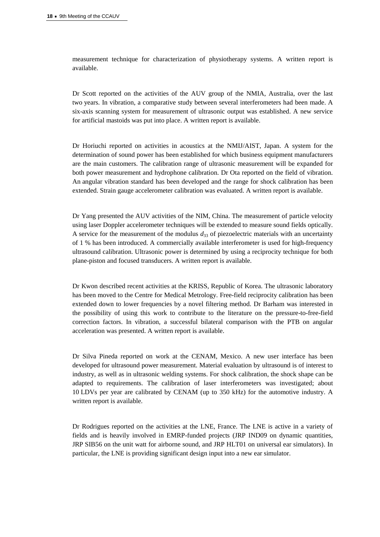measurement technique for characterization of physiotherapy systems. A written report is available.

Dr Scott reported on the activities of the AUV group of the NMIA, Australia, over the last two years. In vibration, a comparative study between several interferometers had been made. A six-axis scanning system for measurement of ultrasonic output was established. A new service for artificial mastoids was put into place. A written report is available.

Dr Horiuchi reported on activities in acoustics at the NMIJ/AIST, Japan. A system for the determination of sound power has been established for which business equipment manufacturers are the main customers. The calibration range of ultrasonic measurement will be expanded for both power measurement and hydrophone calibration. Dr Ota reported on the field of vibration. An angular vibration standard has been developed and the range for shock calibration has been extended. Strain gauge accelerometer calibration was evaluated. A written report is available.

Dr Yang presented the AUV activities of the NIM, China. The measurement of particle velocity using laser Doppler accelerometer techniques will be extended to measure sound fields optically. A service for the measurement of the modulus  $d_{33}$  of piezoelectric materials with an uncertainty of 1 % has been introduced. A commercially available interferometer is used for high-frequency ultrasound calibration. Ultrasonic power is determined by using a reciprocity technique for both plane-piston and focused transducers. A written report is available.

Dr Kwon described recent activities at the KRISS, Republic of Korea. The ultrasonic laboratory has been moved to the Centre for Medical Metrology. Free-field reciprocity calibration has been extended down to lower frequencies by a novel filtering method. Dr Barham was interested in the possibility of using this work to contribute to the literature on the pressure-to-free-field correction factors. In vibration, a successful bilateral comparison with the PTB on angular acceleration was presented. A written report is available.

Dr Silva Pineda reported on work at the CENAM, Mexico. A new user interface has been developed for ultrasound power measurement. Material evaluation by ultrasound is of interest to industry, as well as in ultrasonic welding systems. For shock calibration, the shock shape can be adapted to requirements. The calibration of laser interferometers was investigated; about 10 LDVs per year are calibrated by CENAM (up to 350 kHz) for the automotive industry. A written report is available.

Dr Rodrigues reported on the activities at the LNE, France. The LNE is active in a variety of fields and is heavily involved in EMRP-funded projects (JRP IND09 on dynamic quantities, JRP SIB56 on the unit watt for airborne sound, and JRP HLT01 on universal ear simulators). In particular, the LNE is providing significant design input into a new ear simulator.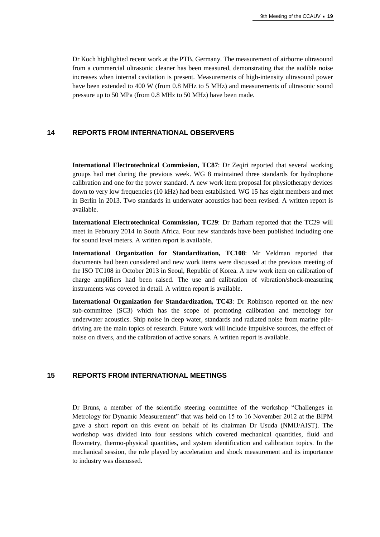Dr Koch highlighted recent work at the PTB, Germany. The measurement of airborne ultrasound from a commercial ultrasonic cleaner has been measured, demonstrating that the audible noise increases when internal cavitation is present. Measurements of high-intensity ultrasound power have been extended to 400 W (from 0.8 MHz to 5 MHz) and measurements of ultrasonic sound pressure up to 50 MPa (from 0.8 MHz to 50 MHz) have been made.

#### **14 REPORTS FROM INTERNATIONAL OBSERVERS**

**International Electrotechnical Commission, TC87**: Dr Zeqiri reported that several working groups had met during the previous week. WG 8 maintained three standards for hydrophone calibration and one for the power standard. A new work item proposal for physiotherapy devices down to very low frequencies (10 kHz) had been established. WG 15 has eight members and met in Berlin in 2013. Two standards in underwater acoustics had been revised. A written report is available.

**International Electrotechnical Commission, TC29**: Dr Barham reported that the TC29 will meet in February 2014 in South Africa. Four new standards have been published including one for sound level meters. A written report is available.

**International Organization for Standardization, TC108**: Mr Veldman reported that documents had been considered and new work items were discussed at the previous meeting of the ISO TC108 in October 2013 in Seoul, Republic of Korea. A new work item on calibration of charge amplifiers had been raised. The use and calibration of vibration/shock-measuring instruments was covered in detail. A written report is available.

**International Organization for Standardization, TC43**: Dr Robinson reported on the new sub-committee (SC3) which has the scope of promoting calibration and metrology for underwater acoustics. Ship noise in deep water, standards and radiated noise from marine piledriving are the main topics of research. Future work will include impulsive sources, the effect of noise on divers, and the calibration of active sonars. A written report is available.

## **15 REPORTS FROM INTERNATIONAL MEETINGS**

Dr Bruns, a member of the scientific steering committee of the workshop "Challenges in Metrology for Dynamic Measurement" that was held on 15 to 16 November 2012 at the BIPM gave a short report on this event on behalf of its chairman Dr Usuda (NMIJ/AIST). The workshop was divided into four sessions which covered mechanical quantities, fluid and flowmetry, thermo-physical quantities, and system identification and calibration topics. In the mechanical session, the role played by acceleration and shock measurement and its importance to industry was discussed.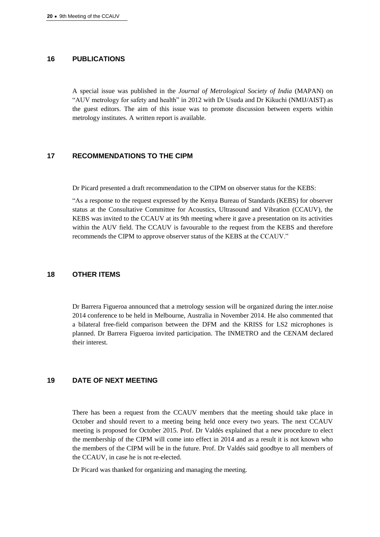#### **16 PUBLICATIONS**

A special issue was published in the *Journal of Metrological Society of India* (MAPAN) on "AUV metrology for safety and health" in 2012 with Dr Usuda and Dr Kikuchi (NMIJ/AIST) as the guest editors. The aim of this issue was to promote discussion between experts within metrology institutes. A written report is available.

#### **17 RECOMMENDATIONS TO THE CIPM**

Dr Picard presented a draft recommendation to the CIPM on observer status for the KEBS:

"As a response to the request expressed by the Kenya Bureau of Standards (KEBS) for observer status at the Consultative Committee for Acoustics, Ultrasound and Vibration (CCAUV), the KEBS was invited to the CCAUV at its 9th meeting where it gave a presentation on its activities within the AUV field. The CCAUV is favourable to the request from the KEBS and therefore recommends the CIPM to approve observer status of the KEBS at the CCAUV."

#### **18 OTHER ITEMS**

Dr Barrera Figueroa announced that a metrology session will be organized during the inter.noise 2014 conference to be held in Melbourne, Australia in November 2014. He also commented that a bilateral free-field comparison between the DFM and the KRISS for LS2 microphones is planned. Dr Barrera Figueroa invited participation. The INMETRO and the CENAM declared their interest.

## **19 DATE OF NEXT MEETING**

There has been a request from the CCAUV members that the meeting should take place in October and should revert to a meeting being held once every two years. The next CCAUV meeting is proposed for October 2015. Prof. Dr Valdés explained that a new procedure to elect the membership of the CIPM will come into effect in 2014 and as a result it is not known who the members of the CIPM will be in the future. Prof. Dr Valdés said goodbye to all members of the CCAUV, in case he is not re-elected.

Dr Picard was thanked for organizing and managing the meeting.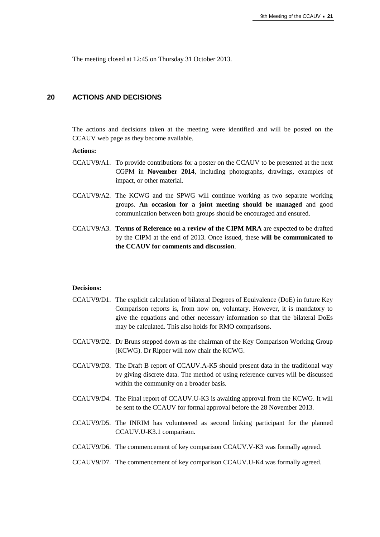The meeting closed at 12:45 on Thursday 31 October 2013.

#### **20 ACTIONS AND DECISIONS**

The actions and decisions taken at the meeting were identified and will be posted on the CCAUV web page as they become available.

#### **Actions:**

- CCAUV9/A1. To provide contributions for a poster on the CCAUV to be presented at the next CGPM in **November 2014**, including photographs, drawings, examples of impact, or other material.
- CCAUV9/A2. The KCWG and the SPWG will continue working as two separate working groups. **An occasion for a joint meeting should be managed** and good communication between both groups should be encouraged and ensured.
- CCAUV9/A3. **Terms of Reference on a review of the CIPM MRA** are expected to be drafted by the CIPM at the end of 2013. Once issued, these **will be communicated to the CCAUV for comments and discussion**.

#### **Decisions:**

- CCAUV9/D1. The explicit calculation of bilateral Degrees of Equivalence (DoE) in future Key Comparison reports is, from now on, voluntary. However, it is mandatory to give the equations and other necessary information so that the bilateral DoEs may be calculated. This also holds for RMO comparisons.
- CCAUV9/D2. Dr Bruns stepped down as the chairman of the Key Comparison Working Group (KCWG). Dr Ripper will now chair the KCWG.
- CCAUV9/D3. The Draft B report of CCAUV.A-K5 should present data in the traditional way by giving discrete data. The method of using reference curves will be discussed within the community on a broader basis.
- CCAUV9/D4. The Final report of CCAUV.U-K3 is awaiting approval from the KCWG. It will be sent to the CCAUV for formal approval before the 28 November 2013.
- CCAUV9/D5. The INRIM has volunteered as second linking participant for the planned CCAUV.U-K3.1 comparison.
- CCAUV9/D6. The commencement of key comparison CCAUV.V-K3 was formally agreed.
- CCAUV9/D7. The commencement of key comparison CCAUV.U-K4 was formally agreed.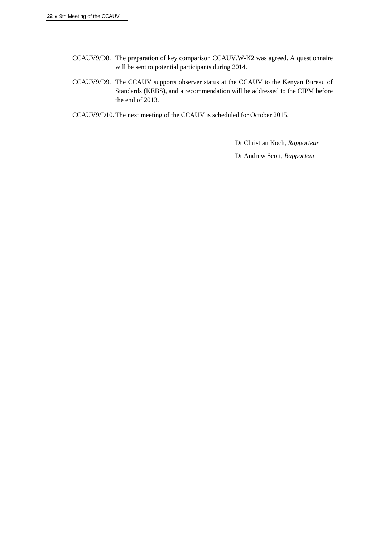- CCAUV9/D8. The preparation of key comparison CCAUV.W-K2 was agreed. A questionnaire will be sent to potential participants during 2014.
- CCAUV9/D9. The CCAUV supports observer status at the CCAUV to the Kenyan Bureau of Standards (KEBS), and a recommendation will be addressed to the CIPM before the end of 2013.
- CCAUV9/D10. The next meeting of the CCAUV is scheduled for October 2015.

Dr Christian Koch, *Rapporteur* Dr Andrew Scott, *Rapporteur*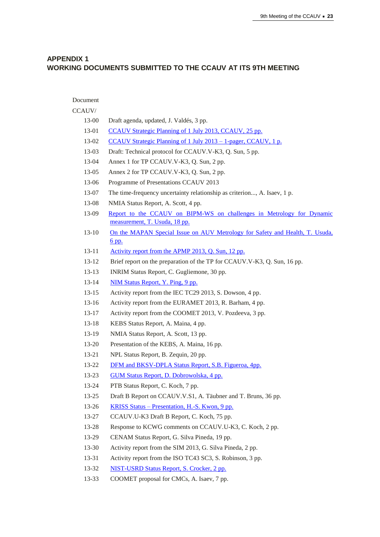## **APPENDIX 1 WORKING DOCUMENTS SUBMITTED TO THE CCAUV AT ITS 9TH MEETING**

| Document  |                                                                              |
|-----------|------------------------------------------------------------------------------|
| CCAUV/    |                                                                              |
| 13-00     | Draft agenda, updated, J. Valdés, 3 pp.                                      |
| 13-01     | CCAUV Strategic Planning of 1 July 2013, CCAUV, 25 pp.                       |
| 13-02     | CCAUV Strategic Planning of 1 July 2013 - 1-pager, CCAUV, 1 p.               |
| 13-03     | Draft: Technical protocol for CCAUV.V-K3, Q. Sun, 5 pp.                      |
| 13-04     | Annex 1 for TP CCAUV.V-K3, Q. Sun, 2 pp.                                     |
| 13-05     | Annex 2 for TP CCAUV.V-K3, Q. Sun, 2 pp.                                     |
| 13-06     | Programme of Presentations CCAUV 2013                                        |
| 13-07     | The time-frequency uncertainty relationship as criterion, A. Isaev, 1 p.     |
| 13-08     | NMIA Status Report, A. Scott, 4 pp.                                          |
| 13-09     | Report to the CCAUV on BIPM-WS on challenges in Metrology for Dynamic        |
|           | measurement, T. Usuda, 18 pp.                                                |
| $13 - 10$ | On the MAPAN Special Issue on AUV Metrology for Safety and Health, T. Usuda, |
|           | <u>6 pp.</u>                                                                 |
| $13 - 11$ | Activity report from the APMP 2013, Q. Sun, 12 pp.                           |
| $13 - 12$ | Brief report on the preparation of the TP for CCAUV.V-K3, Q. Sun, 16 pp.     |
| $13 - 13$ | INRIM Status Report, C. Gugliemone, 30 pp.                                   |
| $13 - 14$ | NIM Status Report, Y. Ping, 9 pp.                                            |
| $13 - 15$ | Activity report from the IEC TC29 2013, S. Dowson, 4 pp.                     |
| $13 - 16$ | Activity report from the EURAMET 2013, R. Barham, 4 pp.                      |
| $13 - 17$ | Activity report from the COOMET 2013, V. Pozdeeva, 3 pp.                     |
| $13 - 18$ | KEBS Status Report, A. Maina, 4 pp.                                          |
| 13-19     | NMIA Status Report, A. Scott, 13 pp.                                         |
| $13 - 20$ | Presentation of the KEBS, A. Maina, 16 pp.                                   |
| 13-21     | NPL Status Report, B. Zequin, 20 pp.                                         |
| 13-22     | DFM and BKSV-DPLA Status Report, S.B. Figueroa, 4pp.                         |
| 13-23     | <b>GUM Status Report, D. Dobrowolska, 4 pp.</b>                              |
| 13-24     | PTB Status Report, C. Koch, 7 pp.                                            |
| $13 - 25$ | Draft B Report on CCAUV.V.S1, A. Täubner and T. Bruns, 36 pp.                |
| 13-26     | <u> KRISS Status – Presentation, H.-S. Kwon, 9 pp.</u>                       |
| 13-27     | CCAUV.U-K3 Draft B Report, C. Koch, 75 pp.                                   |
| 13-28     | Response to KCWG comments on CCAUV.U-K3, C. Koch, 2 pp.                      |
| 13-29     | CENAM Status Report, G. Silva Pineda, 19 pp.                                 |
| 13-30     | Activity report from the SIM 2013, G. Silva Pineda, 2 pp.                    |
| 13-31     | Activity report from the ISO TC43 SC3, S. Robinson, 3 pp.                    |
| 13-32     | NIST-USRD Status Report, S. Crocker, 2 pp.                                   |
| 13-33     | COOMET proposal for CMCs, A. Isaev, 7 pp.                                    |